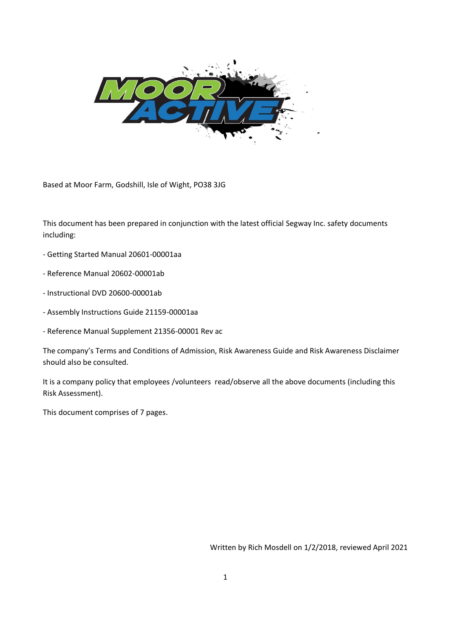

Based at Moor Farm, Godshill, Isle of Wight, PO38 3JG

This document has been prepared in conjunction with the latest official Segway Inc. safety documents including:

- Getting Started Manual 20601-00001aa
- Reference Manual 20602-00001ab
- Instructional DVD 20600-00001ab
- Assembly Instructions Guide 21159-00001aa
- Reference Manual Supplement 21356-00001 Rev ac

The company's Terms and Conditions of Admission, Risk Awareness Guide and Risk Awareness Disclaimer should also be consulted.

It is a company policy that employees /volunteers read/observe all the above documents (including this Risk Assessment).

This document comprises of 7 pages.

Written by Rich Mosdell on 1/2/2018, reviewed April 2021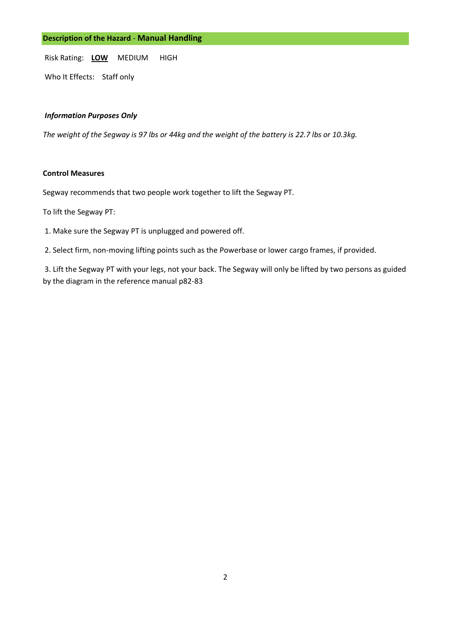# **Description of the Hazard** - **Manual Handling**

Risk Rating: **LOW** MEDIUM HIGH

Who It Effects: Staff only

## *Information Purposes Only*

*The weight of the Segway is 97 lbs or 44kg and the weight of the battery is 22.7 lbs or 10.3kg.* 

### **Control Measures**

Segway recommends that two people work together to lift the Segway PT.

To lift the Segway PT:

- 1. Make sure the Segway PT is unplugged and powered off.
- 2. Select firm, non-moving lifting points such as the Powerbase or lower cargo frames, if provided.

3. Lift the Segway PT with your legs, not your back. The Segway will only be lifted by two persons as guided by the diagram in the reference manual p82-83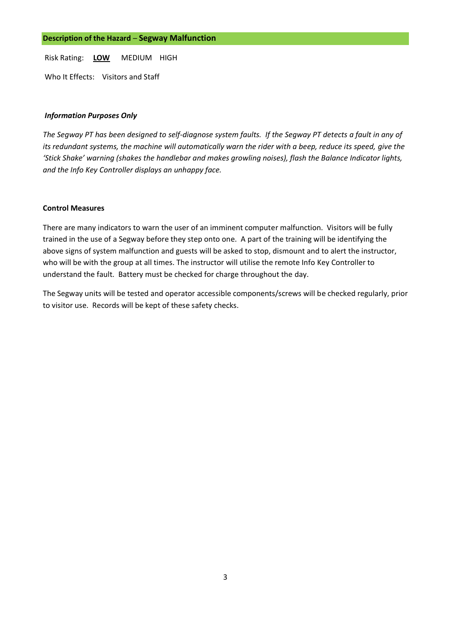Who It Effects: Visitors and Staff

# *Information Purposes Only*

*The Segway PT has been designed to self-diagnose system faults. If the Segway PT detects a fault in any of its redundant systems, the machine will automatically warn the rider with a beep, reduce its speed, give the 'Stick Shake' warning (shakes the handlebar and makes growling noises), flash the Balance Indicator lights, and the Info Key Controller displays an unhappy face.* 

## **Control Measures**

There are many indicators to warn the user of an imminent computer malfunction. Visitors will be fully trained in the use of a Segway before they step onto one. A part of the training will be identifying the above signs of system malfunction and guests will be asked to stop, dismount and to alert the instructor, who will be with the group at all times. The instructor will utilise the remote Info Key Controller to understand the fault. Battery must be checked for charge throughout the day.

The Segway units will be tested and operator accessible components/screws will be checked regularly, prior to visitor use. Records will be kept of these safety checks.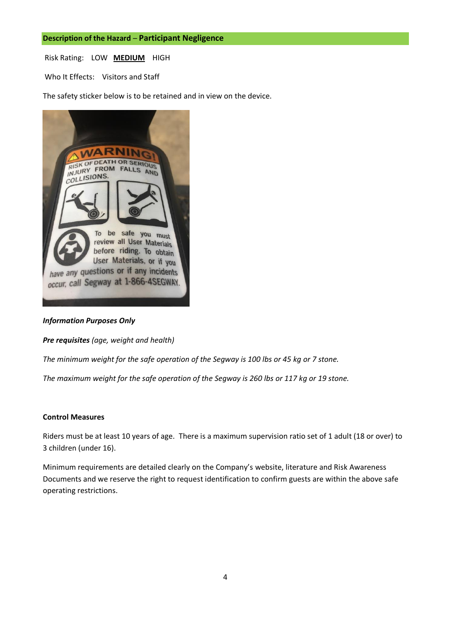Who It Effects: Visitors and Staff

The safety sticker below is to be retained and in view on the device.



### *Information Purposes Only*

*Pre requisites (age, weight and health)*

*The minimum weight for the safe operation of the Segway is 100 lbs or 45 kg or 7 stone.* 

*The maximum weight for the safe operation of the Segway is 260 lbs or 117 kg or 19 stone.* 

#### **Control Measures**

Riders must be at least 10 years of age. There is a maximum supervision ratio set of 1 adult (18 or over) to 3 children (under 16).

Minimum requirements are detailed clearly on the Company's website, literature and Risk Awareness Documents and we reserve the right to request identification to confirm guests are within the above safe operating restrictions.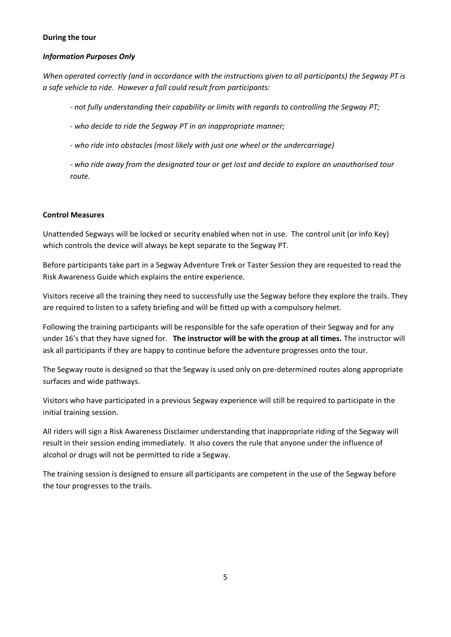# **During the tour**

# *Information Purposes Only*

*When operated correctly (and in accordance with the instructions given to all participants) the Segway PT is a safe vehicle to ride. However a fall could result from participants:* 

*- not fully understanding their capability or limits with regards to controlling the Segway PT;* 

- *- who decide to ride the Segway PT in an inappropriate manner;*
- *- who ride into obstacles (most likely with just one wheel or the undercarriage)*

*- who ride away from the designated tour or get lost and decide to explore an unauthorised tour route.* 

# **Control Measures**

Unattended Segways will be locked or security enabled when not in use. The control unit (or Info Key) which controls the device will always be kept separate to the Segway PT.

Before participants take part in a Segway Adventure Trek or Taster Session they are requested to read the Risk Awareness Guide which explains the entire experience.

Visitors receive all the training they need to successfully use the Segway before they explore the trails. They are required to listen to a safety briefing and will be fitted up with a compulsory helmet.

Following the training participants will be responsible for the safe operation of their Segway and for any under 16's that they have signed for. **The instructor will be with the group at all times.** The instructor will ask all participants if they are happy to continue before the adventure progresses onto the tour.

The Segway route is designed so that the Segway is used only on pre-determined routes along appropriate surfaces and wide pathways.

Visitors who have participated in a previous Segway experience will still be required to participate in the initial training session.

All riders will sign a Risk Awareness Disclaimer understanding that inappropriate riding of the Segway will result in their session ending immediately. It also covers the rule that anyone under the influence of alcohol or drugs will not be permitted to ride a Segway.

The training session is designed to ensure all participants are competent in the use of the Segway before the tour progresses to the trails.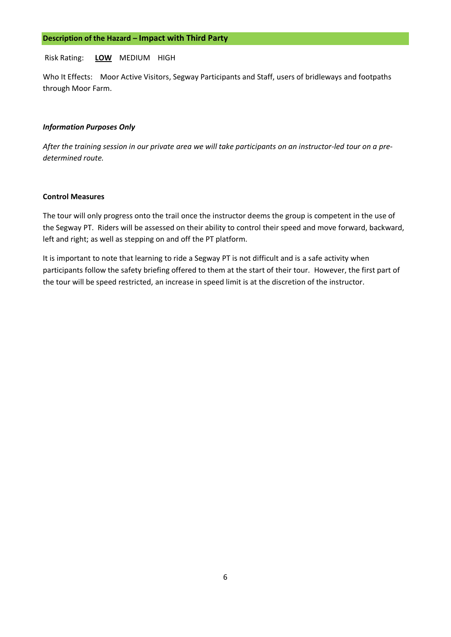Who It Effects: Moor Active Visitors, Segway Participants and Staff, users of bridleways and footpaths through Moor Farm.

### *Information Purposes Only*

*After the training session in our private area we will take participants on an instructor-led tour on a predetermined route.* 

### **Control Measures**

The tour will only progress onto the trail once the instructor deems the group is competent in the use of the Segway PT. Riders will be assessed on their ability to control their speed and move forward, backward, left and right; as well as stepping on and off the PT platform.

It is important to note that learning to ride a Segway PT is not difficult and is a safe activity when participants follow the safety briefing offered to them at the start of their tour. However, the first part of the tour will be speed restricted, an increase in speed limit is at the discretion of the instructor.